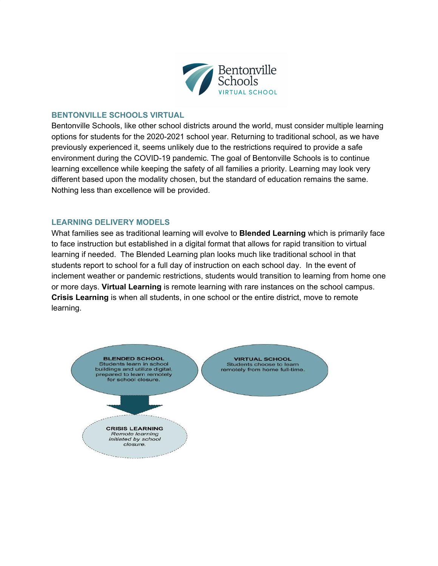

# **BENTONVILLE SCHOOLS VIRTUAL**

Bentonville Schools, like other school districts around the world, must consider multiple learning options for students for the 2020-2021 school year. Returning to traditional school, as we have previously experienced it, seems unlikely due to the restrictions required to provide a safe environment during the COVID-19 pandemic. The goal of Bentonville Schools is to continue learning excellence while keeping the safety of all families a priority. Learning may look very different based upon the modality chosen, but the standard of education remains the same. Nothing less than excellence will be provided.

#### **LEARNING DELIVERY MODELS**

What families see as traditional learning will evolve to **Blended Learning** which is primarily face to face instruction but established in a digital format that allows for rapid transition to virtual learning if needed. The Blended Learning plan looks much like traditional school in that students report to school for a full day of instruction on each school day. In the event of inclement weather or pandemic restrictions, students would transition to learning from home one or more days. **Virtual Learning** is remote learning with rare instances on the school campus. **Crisis Learning** is when all students, in one school or the entire district, move to remote learning.

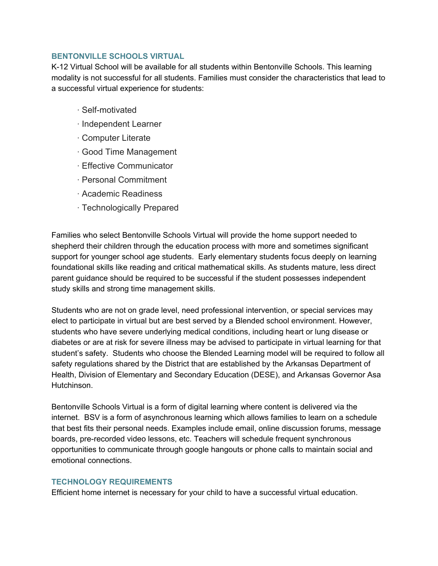# **BENTONVILLE SCHOOLS VIRTUAL**

K-12 Virtual School will be available for all students within Bentonville Schools. This learning modality is not successful for all students. Families must consider the characteristics that lead to a successful virtual experience for students:

- · Self-motivated
- · Independent Learner
- · Computer Literate
- · Good Time Management
- · Effective Communicator
- · Personal Commitment
- · Academic Readiness
- · Technologically Prepared

Families who select Bentonville Schools Virtual will provide the home support needed to shepherd their children through the education process with more and sometimes significant support for younger school age students. Early elementary students focus deeply on learning foundational skills like reading and critical mathematical skills. As students mature, less direct parent guidance should be required to be successful if the student possesses independent study skills and strong time management skills.

Students who are not on grade level, need professional intervention, or special services may elect to participate in virtual but are best served by a Blended school environment. However, students who have severe underlying medical conditions, including heart or lung disease or diabetes or are at risk for severe illness may be advised to participate in virtual learning for that student's safety. Students who choose the Blended Learning model will be required to follow all safety regulations shared by the District that are established by the Arkansas Department of Health, Division of Elementary and Secondary Education (DESE), and Arkansas Governor Asa Hutchinson.

Bentonville Schools Virtual is a form of digital learning where content is delivered via the internet. BSV is a form of asynchronous learning which allows families to learn on a schedule that best fits their personal needs. Examples include email, online discussion forums, message boards, pre-recorded video lessons, etc. Teachers will schedule frequent synchronous opportunities to communicate through google hangouts or phone calls to maintain social and emotional connections.

# **TECHNOLOGY REQUIREMENTS**

Efficient home internet is necessary for your child to have a successful virtual education.